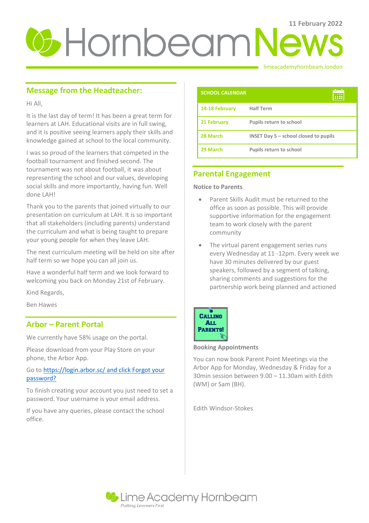# **U**-HornbeamNews

#### limeacademyhornbeam.london

# **Message from the Headteacher:**

Hi All,

It is the last day of term! It has been a great term for learners at LAH. Educational visits are in full swing, and it is positive seeing learners apply their skills and knowledge gained at school to the local community.

I was so proud of the learners that competed in the football tournament and finished second. The tournament was not about football, it was about representing the school and our values, developing social skills and more importantly, having fun. Well done LAH!

Thank you to the parents that joined virtually to our presentation on curriculum at LAH. It is so important that all stakeholders (including parents) understand the curriculum and what is being taught to prepare your young people for when they leave LAH.

The next curriculum meeting will be held on site after half term so we hope you can all join us.

Have a wonderful half term and we look forward to welcoming you back on Monday 21st of February.

Kind Regards,

Ben Hawes

## **Arbor – Parent Portal**

We currently have 58% usage on the portal.

Please download from your Play Store on your phone, the Arbor App.

## Go t[o https://login.arbor.sc/ and click Forgot your](https://login.arbor.sc/%20and%20click%20Forgot%20your%20password?)  [password?](https://login.arbor.sc/%20and%20click%20Forgot%20your%20password?)

To finish creating your account you just need to set a password. Your username is your email address.

If you have any queries, please contact the school office.

| <b>SCHOOL CALENDAR</b> |                                         |
|------------------------|-----------------------------------------|
| 14-18 February         | <b>Half Term</b>                        |
| 21 February            | Pupils return to school                 |
| 28 March               | INSET Day $5$ – school closed to pupils |
| 29 March               | Pupils return to school                 |

# **Parental Engagement**

**Notice to Parents** 

- Parent Skills Audit must be returned to the office as soon as possible. This will provide supportive information for the engagement team to work closely with the parent community
- The virtual parent engagement series runs every Wednesday at 11 -12pm. Every week we have 30 minutes delivered by our guest speakers, followed by a segment of talking, sharing comments and suggestions for the partnership work being planned and actioned



#### **Booking Appointments**

You can now book Parent Point Meetings via the Arbor App for Monday, Wednesday & Friday for a 30min session between 9.00 – 11.30am with Edith (WM) or Sam (BH).

Edith Windsor-Stokes

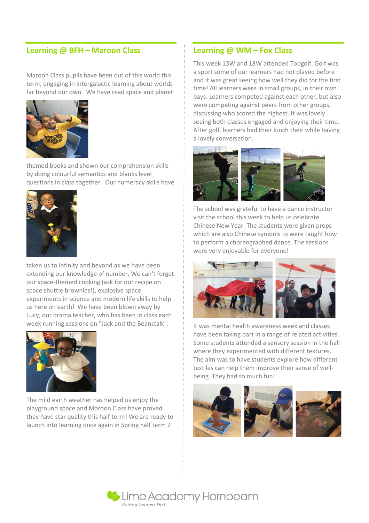## **Learning @ BFH – Maroon Class**

Maroon Class pupils have been out of this world this term, engaging in intergalactic learning about worlds far beyond our own. We have read space and planet



themed books and shown our comprehension skills by doing colourful semantics and blanks level questions in class together. Our numeracy skills have



taken us to infinity and beyond as we have been extending our knowledge of number. We can't forget our space-themed cooking (ask for our recipe on space shuttle brownies!), explosive space experiments in science and modern life skills to help us here on earth! We have been blown away by Lucy, our drama teacher, who has been in class each week running sessions on "Jack and the Beanstalk".



The mild earth weather has helped us enjoy the playground space and Maroon Class have proved they have star quality this half term! We are ready to launch into learning once again in Spring half term 2

## **Learning @ WM – Fox Class**

This week 13W and 18W attended Topgolf. Golf was a sport some of our learners had not played before and it was great seeing how well they did for the first time! All learners were in small groups, in their own bays. Learners competed against each other, but also were competing against peers from other groups, discussing who scored the highest. It was lovely seeing both classes engaged and enjoying their time. After golf, learners had their lunch their while having a lovely conversation.



The school was grateful to have a dance instructor visit the school this week to help us celebrate Chinese New Year. The students were given props which are also Chinese symbols to were taught how to perform a choreographed dance. The sessions were very enjoyable for everyone!



It was mental health awareness week and classes have been taking part in a range of related activities. Some students attended a sensory session in the hall where they experimented with different textures. The aim was to have students explore how different textiles can help them improve their sense of wellbeing. They had so much fun!